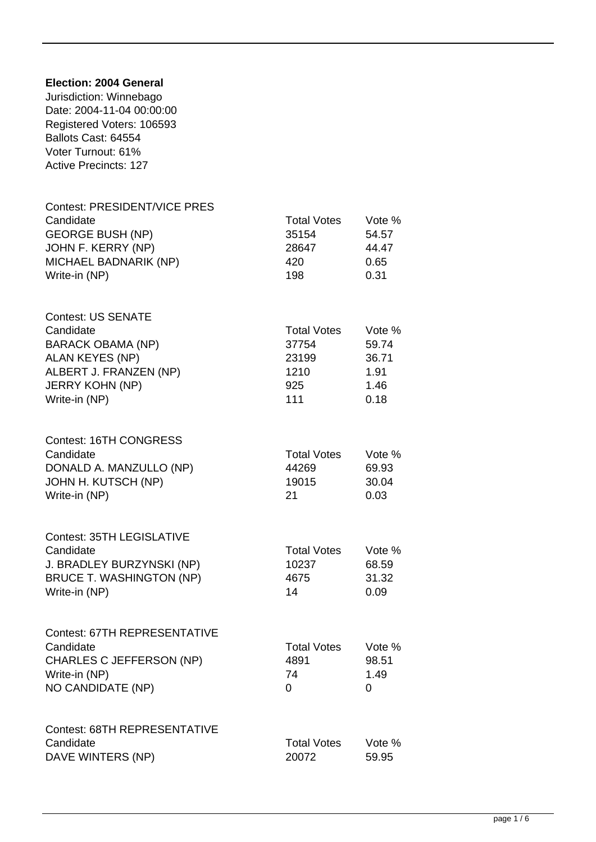## **Election: 2004 General** Jurisdiction: Winnebago Date: 2004-11-04 00:00:00 Registered Voters: 106593 Ballots Cast: 64554 Voter Turnout: 61% Active Precincts: 127 Contest: PRESIDENT/VICE PRES Candidate Candidate Candidate Candidate Candidate Candidate Candidate Candidate Vote % GEORGE BUSH (NP) 35154 54.57 JOHN F. KERRY (NP) 28647 44.47 MICHAEL BADNARIK (NP) 420 420 0.65 Write-in (NP) 198 0.31 Contest: US SENATE Candidate Candidate Candidate Candidate Candidate Candidate Candidate Vote  $\%$ BARACK OBAMA (NP) 37754 59.74 ALAN KEYES (NP) 23199 36.71 ALBERT J. FRANZEN (NP) 1210 1.91 JERRY KOHN (NP) 925 925 1.46 Write-in (NP) 111 0.18 Contest: 16TH CONGRESS Candidate Candidate Candidate Candidate Candidate Candidate Candidate Candidate Candidate Candidate Candidate C DONALD A. MANZULLO (NP) 44269 69.93 JOHN H. KUTSCH (NP) 19015 30.04 Write-in (NP) 21 0.03 Contest: 35TH LEGISLATIVE Candidate **Total Votes** Vote % J. BRADLEY BURZYNSKI (NP) 10237 68.59 BRUCE T. WASHINGTON (NP) 4675 31.32 Write-in (NP) 14 0.09 Contest: 67TH REPRESENTATIVE Candidate Candidate Candidate Candidate Candidate Candidate Candidate Vote  $\%$ CHARLES C JEFFERSON (NP) 4891 98.51 Write-in (NP) 24 21.49 NO CANDIDATE (NP) 0 0 Contest: 68TH REPRESENTATIVE Candidate Candidate Candidate Candidate Candidate Candidate Candidate Candidate Content Content Content Content Content Content Content Content Content Content Content Content Content Content Content Content Content Conten DAVE WINTERS (NP) 20072 59.95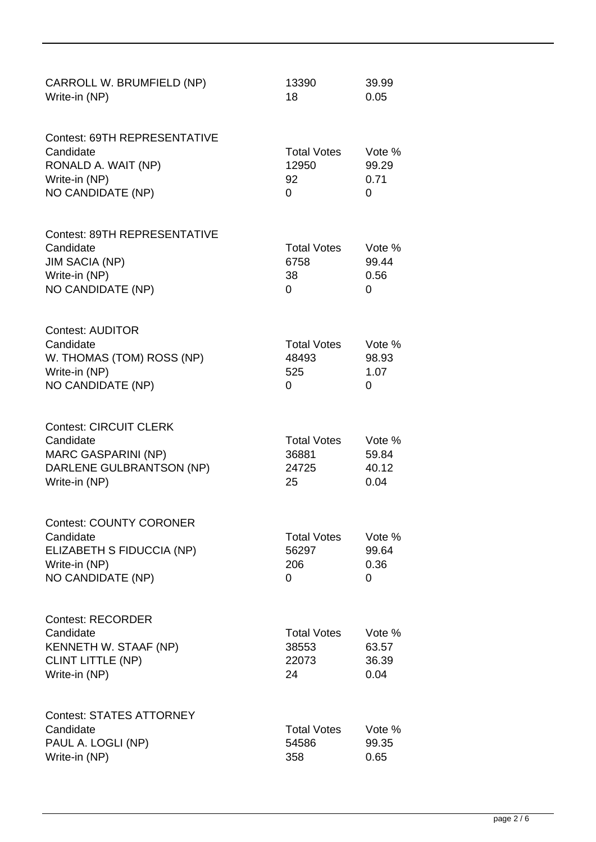| CARROLL W. BRUMFIELD (NP)<br>Write-in (NP)                                                                            | 13390<br>18                                   | 39.99<br>0.05                    |
|-----------------------------------------------------------------------------------------------------------------------|-----------------------------------------------|----------------------------------|
| <b>Contest: 69TH REPRESENTATIVE</b><br>Candidate<br>RONALD A. WAIT (NP)<br>Write-in (NP)<br>NO CANDIDATE (NP)         | <b>Total Votes</b><br>12950<br>92<br>$\Omega$ | Vote %<br>99.29<br>0.71<br>0     |
| <b>Contest: 89TH REPRESENTATIVE</b><br>Candidate<br><b>JIM SACIA (NP)</b><br>Write-in (NP)<br>NO CANDIDATE (NP)       | <b>Total Votes</b><br>6758<br>38<br>$\Omega$  | Vote %<br>99.44<br>0.56<br>0     |
| <b>Contest: AUDITOR</b><br>Candidate<br>W. THOMAS (TOM) ROSS (NP)<br>Write-in (NP)<br>NO CANDIDATE (NP)               | <b>Total Votes</b><br>48493<br>525<br>0       | Vote %<br>98.93<br>1.07<br>0     |
| <b>Contest: CIRCUIT CLERK</b><br>Candidate<br><b>MARC GASPARINI (NP)</b><br>DARLENE GULBRANTSON (NP)<br>Write-in (NP) | <b>Total Votes</b><br>36881<br>24725<br>25    | Vote %<br>59.84<br>40.12<br>0.04 |
| <b>Contest: COUNTY CORONER</b><br>Candidate<br>ELIZABETH S FIDUCCIA (NP)<br>Write-in (NP)<br><b>NO CANDIDATE (NP)</b> | <b>Total Votes</b><br>56297<br>206<br>0       | Vote %<br>99.64<br>0.36<br>0     |
| <b>Contest: RECORDER</b><br>Candidate<br>KENNETH W. STAAF (NP)<br><b>CLINT LITTLE (NP)</b><br>Write-in (NP)           | <b>Total Votes</b><br>38553<br>22073<br>24    | Vote %<br>63.57<br>36.39<br>0.04 |
| <b>Contest: STATES ATTORNEY</b><br>Candidate<br>PAUL A. LOGLI (NP)<br>Write-in (NP)                                   | <b>Total Votes</b><br>54586<br>358            | Vote %<br>99.35<br>0.65          |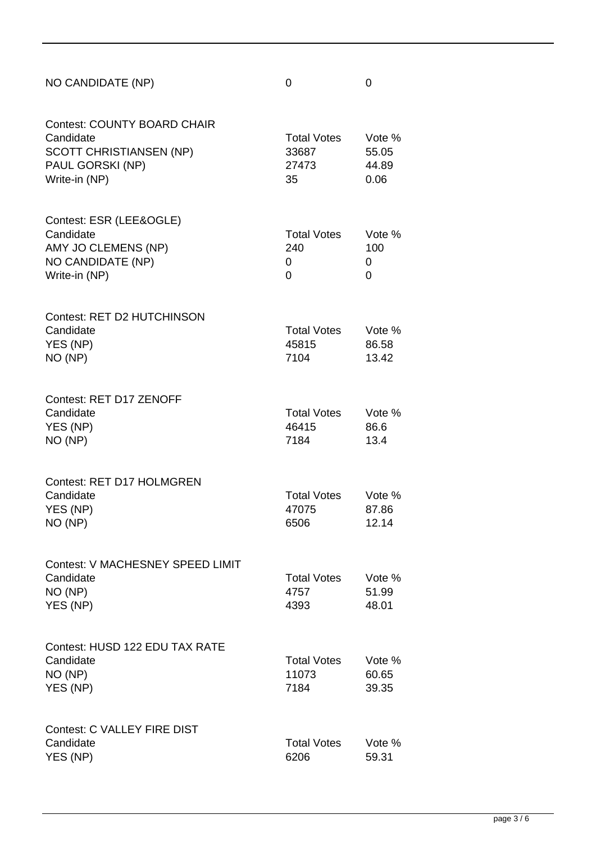| NO CANDIDATE (NP)                                                                                                      | 0                                          | $\overline{0}$                   |
|------------------------------------------------------------------------------------------------------------------------|--------------------------------------------|----------------------------------|
| <b>Contest: COUNTY BOARD CHAIR</b><br>Candidate<br><b>SCOTT CHRISTIANSEN (NP)</b><br>PAUL GORSKI (NP)<br>Write-in (NP) | <b>Total Votes</b><br>33687<br>27473<br>35 | Vote %<br>55.05<br>44.89<br>0.06 |
| Contest: ESR (LEE&OGLE)<br>Candidate<br>AMY JO CLEMENS (NP)<br>NO CANDIDATE (NP)<br>Write-in (NP)                      | <b>Total Votes</b><br>240<br>0<br>0        | Vote %<br>100<br>0<br>0          |
| <b>Contest: RET D2 HUTCHINSON</b><br>Candidate<br>YES (NP)<br>NO (NP)                                                  | <b>Total Votes</b><br>45815<br>7104        | Vote %<br>86.58<br>13.42         |
| Contest: RET D17 ZENOFF<br>Candidate<br>YES (NP)<br>NO (NP)                                                            | <b>Total Votes</b><br>46415<br>7184        | Vote %<br>86.6<br>13.4           |
| Contest: RET D17 HOLMGREN<br>Candidate<br>YES (NP)<br>NO (NP)                                                          | <b>Total Votes</b><br>47075<br>6506        | Vote %<br>87.86<br>12.14         |
| Contest: V MACHESNEY SPEED LIMIT<br>Candidate<br>NO (NP)<br>YES (NP)                                                   | <b>Total Votes</b><br>4757<br>4393         | Vote %<br>51.99<br>48.01         |
| Contest: HUSD 122 EDU TAX RATE<br>Candidate<br>NO (NP)<br>YES (NP)                                                     | <b>Total Votes</b><br>11073<br>7184        | Vote %<br>60.65<br>39.35         |
| <b>Contest: C VALLEY FIRE DIST</b><br>Candidate<br>YES (NP)                                                            | <b>Total Votes</b><br>6206                 | Vote %<br>59.31                  |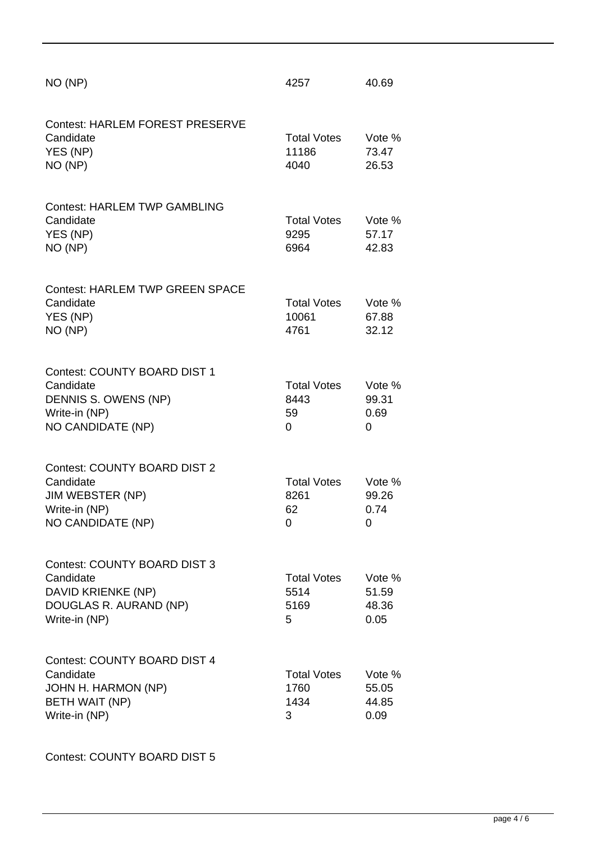| NO (NP)                                                                                                           | 4257                                    | 40.69                            |
|-------------------------------------------------------------------------------------------------------------------|-----------------------------------------|----------------------------------|
| <b>Contest: HARLEM FOREST PRESERVE</b><br>Candidate<br>YES (NP)<br>NO (NP)                                        | <b>Total Votes</b><br>11186<br>4040     | Vote %<br>73.47<br>26.53         |
| <b>Contest: HARLEM TWP GAMBLING</b><br>Candidate<br>YES (NP)<br>NO (NP)                                           | <b>Total Votes</b><br>9295<br>6964      | Vote %<br>57.17<br>42.83         |
| <b>Contest: HARLEM TWP GREEN SPACE</b><br>Candidate<br>YES (NP)<br>NO (NP)                                        | <b>Total Votes</b><br>10061<br>4761     | Vote %<br>67.88<br>32.12         |
| Contest: COUNTY BOARD DIST 1<br>Candidate<br>DENNIS S. OWENS (NP)<br>Write-in (NP)<br>NO CANDIDATE (NP)           | <b>Total Votes</b><br>8443<br>59<br>0   | Vote %<br>99.31<br>0.69<br>0     |
| <b>Contest: COUNTY BOARD DIST 2</b><br>Candidate<br>JIM WEBSTER (NP)<br>Write-in (NP)<br>NO CANDIDATE (NP)        | <b>Total Votes</b><br>8261<br>62<br>0   | Vote %<br>99.26<br>0.74<br>0     |
| <b>Contest: COUNTY BOARD DIST 3</b><br>Candidate<br>DAVID KRIENKE (NP)<br>DOUGLAS R. AURAND (NP)<br>Write-in (NP) | <b>Total Votes</b><br>5514<br>5169<br>5 | Vote %<br>51.59<br>48.36<br>0.05 |
| <b>Contest: COUNTY BOARD DIST 4</b><br>Candidate<br>JOHN H. HARMON (NP)<br><b>BETH WAIT (NP)</b><br>Write-in (NP) | <b>Total Votes</b><br>1760<br>1434<br>3 | Vote %<br>55.05<br>44.85<br>0.09 |

Contest: COUNTY BOARD DIST 5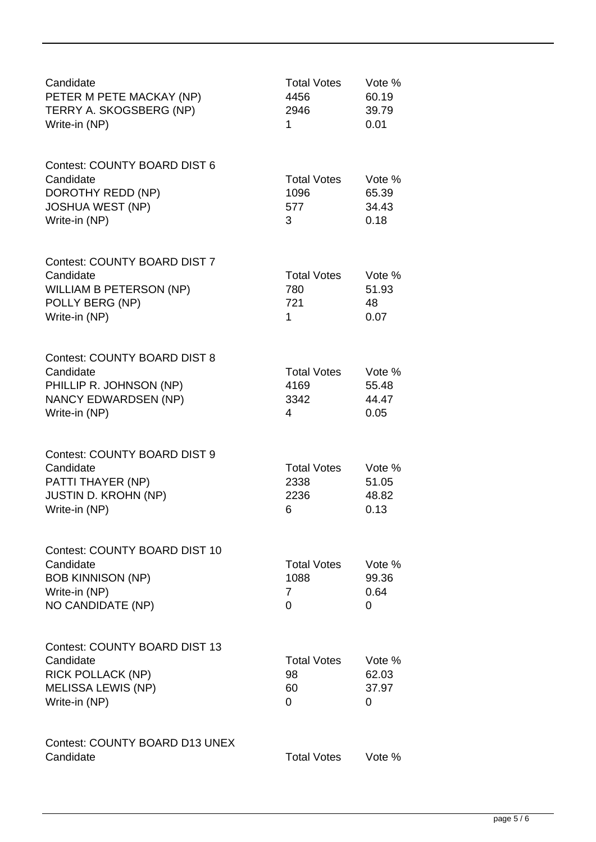| Candidate<br>PETER M PETE MACKAY (NP)<br>TERRY A. SKOGSBERG (NP)<br>Write-in (NP)                                      | <b>Total Votes</b><br>4456<br>2946<br>1 | Vote %<br>60.19<br>39.79<br>0.01 |
|------------------------------------------------------------------------------------------------------------------------|-----------------------------------------|----------------------------------|
| <b>Contest: COUNTY BOARD DIST 6</b><br>Candidate<br>DOROTHY REDD (NP)<br><b>JOSHUA WEST (NP)</b><br>Write-in (NP)      | <b>Total Votes</b><br>1096<br>577<br>3  | Vote %<br>65.39<br>34.43<br>0.18 |
| <b>Contest: COUNTY BOARD DIST 7</b><br>Candidate<br><b>WILLIAM B PETERSON (NP)</b><br>POLLY BERG (NP)<br>Write-in (NP) | <b>Total Votes</b><br>780<br>721<br>1   | Vote %<br>51.93<br>48<br>0.07    |
| <b>Contest: COUNTY BOARD DIST 8</b><br>Candidate<br>PHILLIP R. JOHNSON (NP)<br>NANCY EDWARDSEN (NP)<br>Write-in (NP)   | <b>Total Votes</b><br>4169<br>3342<br>4 | Vote %<br>55.48<br>44.47<br>0.05 |
| Contest: COUNTY BOARD DIST 9<br>Candidate<br>PATTI THAYER (NP)<br><b>JUSTIN D. KROHN (NP)</b><br>Write-in (NP)         | <b>Total Votes</b><br>2338<br>2236<br>6 | Vote %<br>51.05<br>48.82<br>0.13 |
| Contest: COUNTY BOARD DIST 10<br>Candidate<br><b>BOB KINNISON (NP)</b><br>Write-in (NP)<br>NO CANDIDATE (NP)           | <b>Total Votes</b><br>1088<br>7<br>0    | Vote %<br>99.36<br>0.64<br>0     |
| Contest: COUNTY BOARD DIST 13<br>Candidate<br><b>RICK POLLACK (NP)</b><br><b>MELISSA LEWIS (NP)</b><br>Write-in (NP)   | <b>Total Votes</b><br>98<br>60<br>0     | Vote %<br>62.03<br>37.97<br>0    |
| Contest: COUNTY BOARD D13 UNEX<br>Candidate                                                                            | <b>Total Votes</b>                      | Vote %                           |